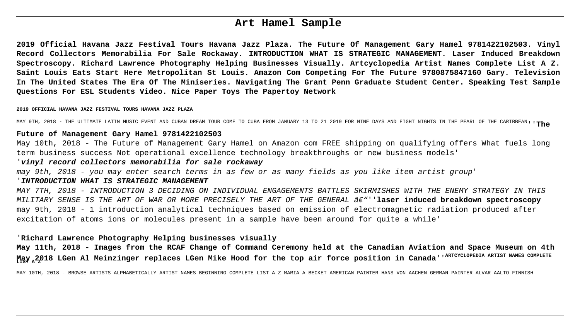# **Art Hamel Sample**

**2019 Official Havana Jazz Festival Tours Havana Jazz Plaza. The Future Of Management Gary Hamel 9781422102503. Vinyl Record Collectors Memorabilia For Sale Rockaway. INTRODUCTION WHAT IS STRATEGIC MANAGEMENT. Laser Induced Breakdown Spectroscopy. Richard Lawrence Photography Helping Businesses Visually. Artcyclopedia Artist Names Complete List A Z. Saint Louis Eats Start Here Metropolitan St Louis. Amazon Com Competing For The Future 9780875847160 Gary. Television In The United States The Era Of The Miniseries. Navigating The Grant Penn Graduate Student Center. Speaking Test Sample Questions For ESL Students Video. Nice Paper Toys The Papertoy Network**

#### **2019 OFFICIAL HAVANA JAZZ FESTIVAL TOURS HAVANA JAZZ PLAZA**

MAY 9TH, 2018 - THE ULTIMATE LATIN MUSIC EVENT AND CUBAN DREAM TOUR COME TO CUBA FROM JANUARY 13 TO 21 2019 FOR NINE DAYS AND EIGHT NIGHTS IN THE PEARL OF THE CARIBBEAN''**The**

#### **Future of Management Gary Hamel 9781422102503**

May 10th, 2018 - The Future of Management Gary Hamel on Amazon com FREE shipping on qualifying offers What fuels long term business success Not operational excellence technology breakthroughs or new business models'

### '**vinyl record collectors memorabilia for sale rockaway**

may 9th, 2018 - you may enter search terms in as few or as many fields as you like item artist group'

#### '**INTRODUCTION WHAT IS STRATEGIC MANAGEMENT**

MAY 7TH, 2018 - INTRODUCTION 3 DECIDING ON INDIVIDUAL ENGAGEMENTS BATTLES SKIRMISHES WITH THE ENEMY STRATEGY IN THIS MILITARY SENSE IS THE ART OF WAR OR MORE PRECISELY THE ART OF THE GENERAL  $\hat{a}\epsilon$ "''**laser induced breakdown spectroscopy** may 9th, 2018 - 1 introduction analytical techniques based on emission of electromagnetic radiation produced after excitation of atoms ions or molecules present in a sample have been around for quite a while'

#### '**Richard Lawrence Photography Helping businesses visually**

**May 11th, 2018 - Images from the RCAF Change of Command Ceremony held at the Canadian Aviation and Space Museum on 4th May 2018 LGen Al Meinzinger replaces LGen Mike Hood for the top air force position in Canada**''**ARTCYCLOPEDIA ARTIST NAMES COMPLETE LIST A Z**

MAY 10TH, 2018 - BROWSE ARTISTS ALPHABETICALLY ARTIST NAMES BEGINNING COMPLETE LIST A Z MARIA A BECKET AMERICAN PAINTER HANS VON AACHEN GERMAN PAINTER ALVAR AALTO FINNISH